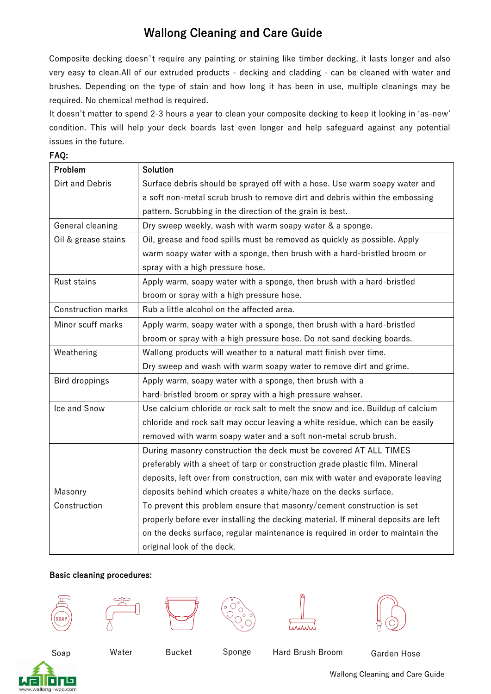# Wallong Cleaning and Care Guide

Composite decking doesn't require any painting or staining like timber decking, it lasts longer and also very easy to clean.All of our extruded products - decking and cladding - can be cleaned with water and brushes. Depending on the type of stain and how long it has been in use, multiple cleanings may be required. No chemical method is required.

It doesn't matter to spend 2-3 hours a year to clean your composite decking to keep it looking in 'as-new' condition. This will help your deck boards last even longer and help safeguard against any potential issues in the future.

#### FAQ:

| Problem                   | <b>Solution</b>                                                                    |
|---------------------------|------------------------------------------------------------------------------------|
| Dirt and Debris           | Surface debris should be sprayed off with a hose. Use warm soapy water and         |
|                           | a soft non-metal scrub brush to remove dirt and debris within the embossing        |
|                           | pattern. Scrubbing in the direction of the grain is best.                          |
| General cleaning          | Dry sweep weekly, wash with warm soapy water & a sponge.                           |
| Oil & grease stains       | Oil, grease and food spills must be removed as quickly as possible. Apply          |
|                           | warm soapy water with a sponge, then brush with a hard-bristled broom or           |
|                           | spray with a high pressure hose.                                                   |
| Rust stains               | Apply warm, soapy water with a sponge, then brush with a hard-bristled             |
|                           | broom or spray with a high pressure hose.                                          |
| <b>Construction marks</b> | Rub a little alcohol on the affected area.                                         |
| Minor scuff marks         | Apply warm, soapy water with a sponge, then brush with a hard-bristled             |
|                           | broom or spray with a high pressure hose. Do not sand decking boards.              |
| Weathering                | Wallong products will weather to a natural matt finish over time.                  |
|                           | Dry sweep and wash with warm soapy water to remove dirt and grime.                 |
| Bird droppings            | Apply warm, soapy water with a sponge, then brush with a                           |
|                           | hard-bristled broom or spray with a high pressure wahser.                          |
| Ice and Snow              | Use calcium chloride or rock salt to melt the snow and ice. Buildup of calcium     |
|                           | chloride and rock salt may occur leaving a white residue, which can be easily      |
|                           | removed with warm soapy water and a soft non-metal scrub brush.                    |
|                           | During masonry construction the deck must be covered AT ALL TIMES                  |
|                           | preferably with a sheet of tarp or construction grade plastic film. Mineral        |
|                           | deposits, left over from construction, can mix with water and evaporate leaving    |
| Masonry                   | deposits behind which creates a white/haze on the decks surface.                   |
| Construction              | To prevent this problem ensure that masonry/cement construction is set             |
|                           | properly before ever installing the decking material. If mineral deposits are left |
|                           | on the decks surface, regular maintenance is required in order to maintain the     |
|                           | original look of the deck.                                                         |

#### Basic cleaning procedures:













Soap Sponge Garden Hose Water Bucket Hard Brush Broom

Wallong Cleaning and Care Guide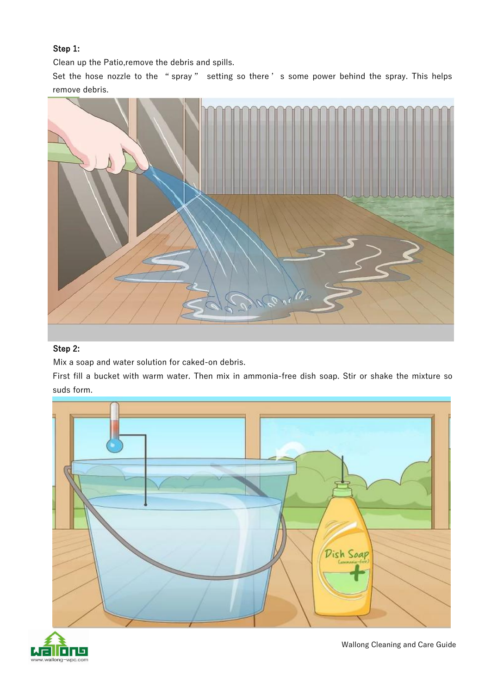### Step 1:

Clean up the Patio,remove the debris and spills.

Set the hose nozzle to the "spray" setting so there's some power behind the spray. This helps remove debris.



#### Step 2:

Mix a soap and water solution for caked-on debris.

First fill a bucket with warm water. Then mix in ammonia-free dish soap. Stir or shake the mixture so suds form.





Wallong Cleaning and Care Guide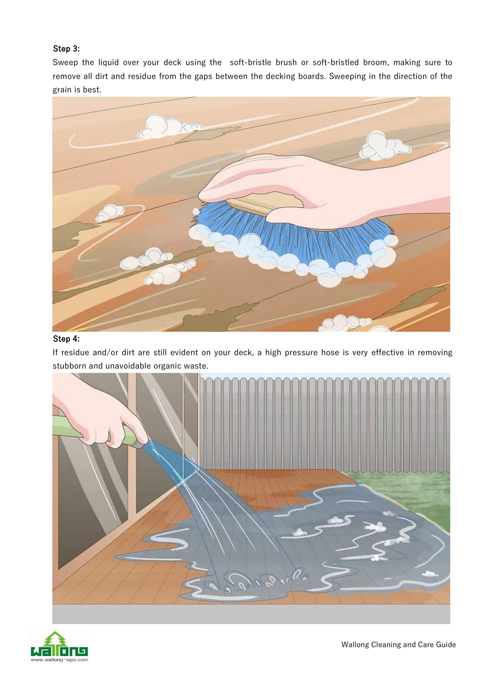### Step 3:

Sweep the liquid over your deck using the soft-bristle brush or soft-bristled broom, making sure to remove all dirt and residue from the gaps between the decking boards. Sweeping in the direction of the grain is best.



## Step 4:

If residue and/or dirt are still evident on your deck, a high pressure hose is very effective in removing stubborn and unavoidable organic waste.